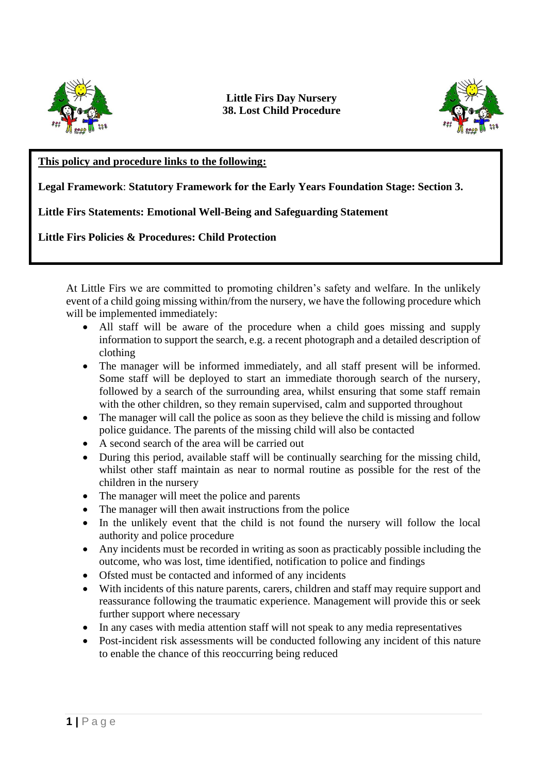

## **Little Firs Day Nursery 38. Lost Child Procedure**



## **This policy and procedure links to the following:**

**Legal Framework**: **Statutory Framework for the Early Years Foundation Stage: Section 3.**

**Little Firs Statements: Emotional Well-Being and Safeguarding Statement** 

**Little Firs Policies & Procedures: Child Protection**

At Little Firs we are committed to promoting children's safety and welfare. In the unlikely event of a child going missing within/from the nursery, we have the following procedure which will be implemented immediately:

- All staff will be aware of the procedure when a child goes missing and supply information to support the search, e.g. a recent photograph and a detailed description of clothing
- The manager will be informed immediately, and all staff present will be informed. Some staff will be deployed to start an immediate thorough search of the nursery, followed by a search of the surrounding area, whilst ensuring that some staff remain with the other children, so they remain supervised, calm and supported throughout
- The manager will call the police as soon as they believe the child is missing and follow police guidance. The parents of the missing child will also be contacted
- A second search of the area will be carried out
- During this period, available staff will be continually searching for the missing child, whilst other staff maintain as near to normal routine as possible for the rest of the children in the nursery
- The manager will meet the police and parents
- The manager will then await instructions from the police
- In the unlikely event that the child is not found the nursery will follow the local authority and police procedure
- Any incidents must be recorded in writing as soon as practicably possible including the outcome, who was lost, time identified, notification to police and findings
- Ofsted must be contacted and informed of any incidents
- With incidents of this nature parents, carers, children and staff may require support and reassurance following the traumatic experience. Management will provide this or seek further support where necessary
- In any cases with media attention staff will not speak to any media representatives
- Post-incident risk assessments will be conducted following any incident of this nature to enable the chance of this reoccurring being reduced